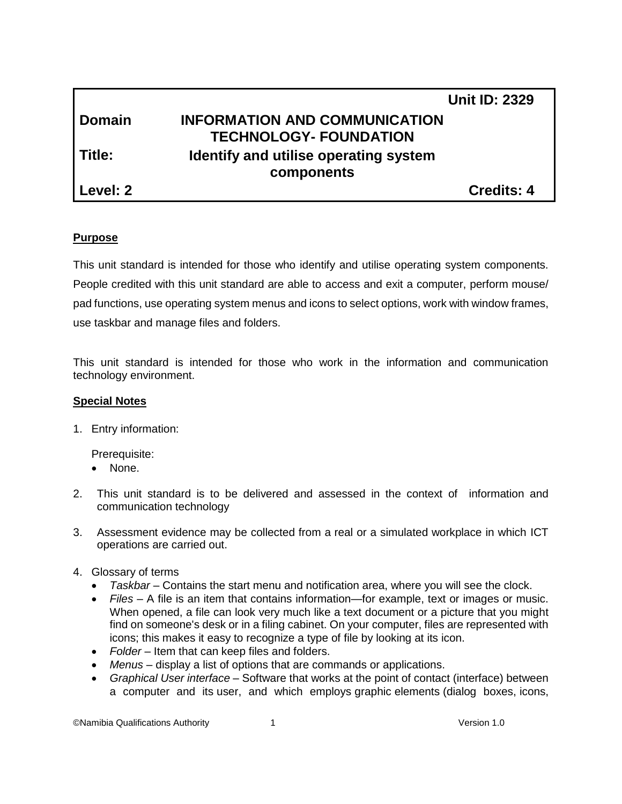|                   | <b>Unit ID: 2329</b>                  |
|-------------------|---------------------------------------|
| <b>Domain</b>     | <b>INFORMATION AND COMMUNICATION</b>  |
|                   | <b>TECHNOLOGY- FOUNDATION</b>         |
| l Title:          | Identify and utilise operating system |
|                   | components                            |
| <b>Level: 2</b> ∣ | <b>Credits: 4</b>                     |

## **Purpose**

This unit standard is intended for those who identify and utilise operating system components. People credited with this unit standard are able to access and exit a computer, perform mouse/ pad functions, use operating system menus and icons to select options, work with window frames, use taskbar and manage files and folders.

This unit standard is intended for those who work in the information and communication technology environment.

#### **Special Notes**

1. Entry information:

Prerequisite:

- None.
- 2. This unit standard is to be delivered and assessed in the context of information and communication technology
- 3. Assessment evidence may be collected from a real or a simulated workplace in which ICT operations are carried out.
- 4. Glossary of terms
	- *Taskbar* Contains the start menu and notification area, where you will see the clock.
	- *Files* A file is an item that contains information—for example, text or images or music. When opened, a file can look very much like a text document or a picture that you might find on someone's desk or in a filing cabinet. On your computer, files are represented with [icons;](mshelp://windows/?id=e18cb038-4ac9-42ad-af03-4af222c12a11#gtmt_icon_def) this makes it easy to recognize a type of file by looking at its icon.
	- *Folder* Item that can keep files and folders.
	- *Menus* display a list of options that are commands or applications.
	- *Graphical User interface* [Software](http://www.businessdictionary.com/definition/software.html) that [works](http://www.businessdictionary.com/definition/work.html) at the [point of contact](http://www.businessdictionary.com/definition/point-of-contact.html) [\(interface\)](http://www.businessdictionary.com/definition/interface.html) between a computer and its [user,](http://www.businessdictionary.com/definition/user.html) and which employs [graphic](http://www.businessdictionary.com/definition/graphic.html) [elements](http://www.businessdictionary.com/definition/element.html) (dialog boxes, [icons,](http://www.businessdictionary.com/definition/icon.html)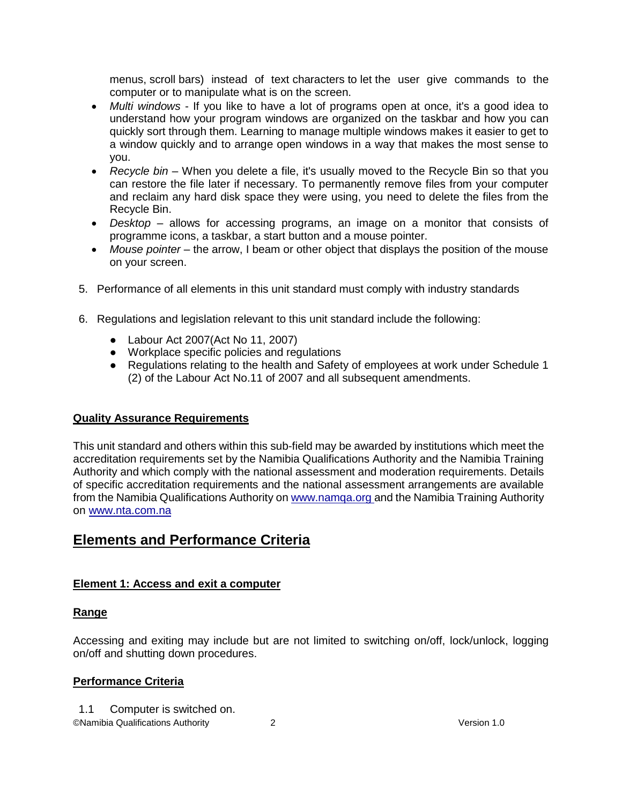menus, [scroll](http://www.businessdictionary.com/definition/scroll.html) [bars\)](http://www.businessdictionary.com/definition/bar.html) instead of text [characters](http://www.businessdictionary.com/definition/character.html) to [let](http://www.businessdictionary.com/definition/let.html) the user give commands to the computer or to manipulate what is on the [screen.](http://www.businessdictionary.com/definition/screen.html)

- *Multi windows* If you like to have a lot of programs open at once, it's a good idea to understand how your program [windows](mshelp://windows/?id=332d7acf-bb07-4e33-8adb-bc8bd6c4477c#gtmt_window_def) are organized on the [taskbar](mshelp://windows/?id=c902cf44-35da-46f6-972d-59a8fe055898#gtmt_taskbar1_def) and how you can quickly sort through them. Learning to manage multiple windows makes it easier to get to a window quickly and to arrange open windows in a way that makes the most sense to you.
- *Recycle bin* When you delete a file, it's usually moved to the Recycle Bin so that you can restore the file later if necessary. To permanently remove files from your computer and reclaim any hard disk space they were using, you need to delete the files from the Recycle Bin.
- *Desktop* allows for accessing programs, an image on a monitor that consists of programme icons, a taskbar, a start button and a mouse pointer.
- *Mouse pointer* the arrow, I beam or other object that displays the position of the mouse on your screen.
- 5. Performance of all elements in this unit standard must comply with industry standards
- 6. Regulations and legislation relevant to this unit standard include the following:
	- Labour Act 2007(Act No 11, 2007)
	- Workplace specific policies and regulations
	- Regulations relating to the health and Safety of employees at work under Schedule 1 (2) of the Labour Act No.11 of 2007 and all subsequent amendments.

# **Quality Assurance Requirements**

This unit standard and others within this sub-field may be awarded by institutions which meet the accreditation requirements set by the Namibia Qualifications Authority and the Namibia Training Authority and which comply with the national assessment and moderation requirements. Details of specific accreditation requirements and the national assessment arrangements are available from the Namibia Qualifications Authority o[n www.namqa.org a](http://www.namqa.org/)nd the Namibia Training Authority on [www.nta.com.na](http://www.nta.com.na/)

# **Elements and Performance Criteria**

# **Element 1: Access and exit a computer**

#### **Range**

Accessing and exiting may include but are not limited to switching on/off, lock/unlock, logging on/off and shutting down procedures.

# **Performance Criteria**

1.1 Computer is switched on.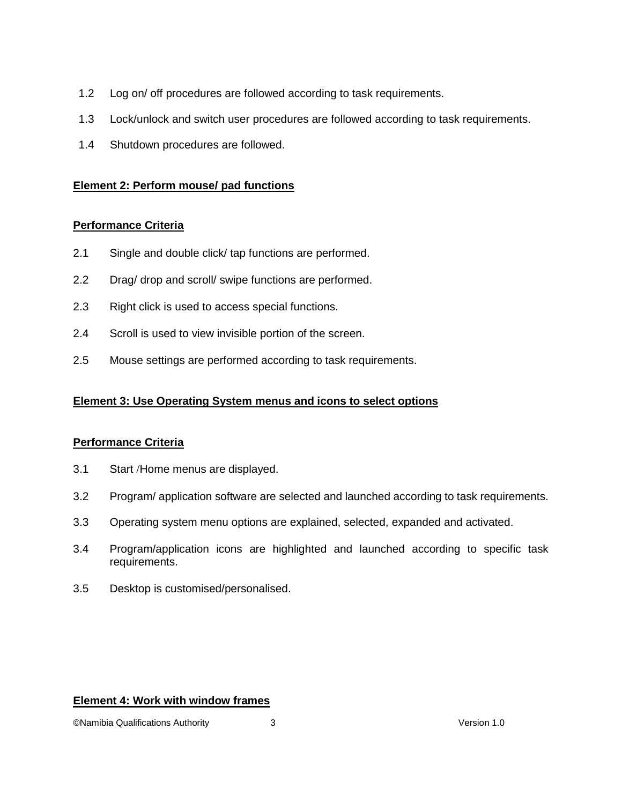- 1.2 Log on/ off procedures are followed according to task requirements.
- 1.3 Lock/unlock and switch user procedures are followed according to task requirements.
- 1.4 Shutdown procedures are followed.

#### **Element 2: Perform mouse/ pad functions**

#### **Performance Criteria**

- 2.1 Single and double click/ tap functions are performed.
- 2.2 Drag/ drop and scroll/ swipe functions are performed.
- 2.3 Right click is used to access special functions.
- 2.4 Scroll is used to view invisible portion of the screen.
- 2.5 Mouse settings are performed according to task requirements.

## **Element 3: Use Operating System menus and icons to select options**

#### **Performance Criteria**

- 3.1 Start /Home menus are displayed.
- 3.2 Program/ application software are selected and launched according to task requirements.
- 3.3 Operating system menu options are explained, selected, expanded and activated.
- 3.4 Program/application icons are highlighted and launched according to specific task requirements.
- 3.5 Desktop is customised/personalised.

#### **Element 4: Work with window frames**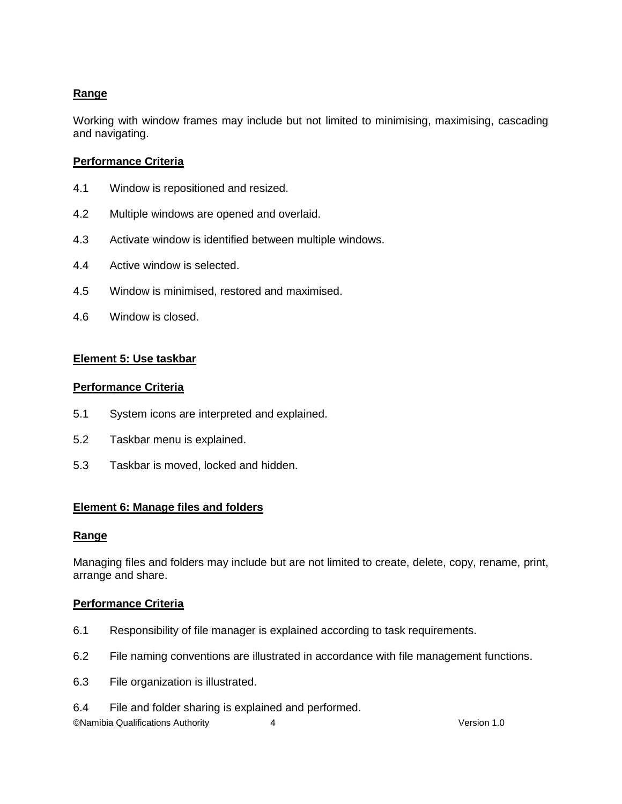# **Range**

Working with window frames may include but not limited to minimising, maximising, cascading and navigating.

## **Performance Criteria**

- 4.1 Window is repositioned and resized.
- 4.2 Multiple windows are opened and overlaid.
- 4.3 Activate window is identified between multiple windows.
- 4.4 Active window is selected.
- 4.5 Window is minimised, restored and maximised.
- 4.6 Window is closed.

## **Element 5: Use taskbar**

#### **Performance Criteria**

- 5.1 System icons are interpreted and explained.
- 5.2 Taskbar menu is explained.
- 5.3 Taskbar is moved, locked and hidden.

#### **Element 6: Manage files and folders**

#### **Range**

Managing files and folders may include but are not limited to create, delete, copy, rename, print, arrange and share.

#### **Performance Criteria**

- 6.1 Responsibility of file manager is explained according to task requirements.
- 6.2 File naming conventions are illustrated in accordance with file management functions.
- 6.3 File organization is illustrated.
- 6.4 File and folder sharing is explained and performed.

©Namibia Qualifications Authority 4 Version 1.0